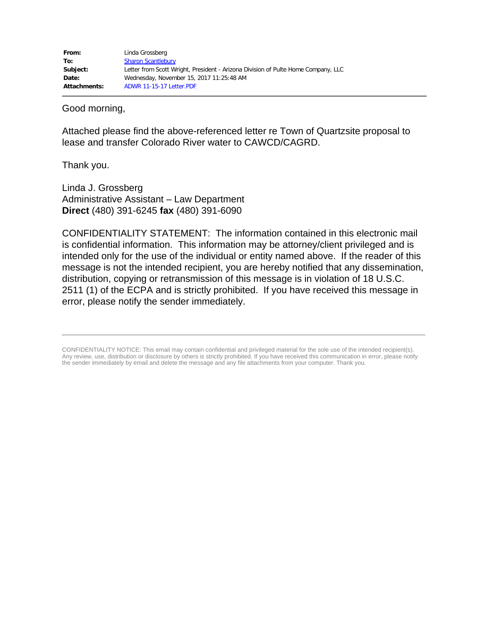Good morning,

Attached please find the above-referenced letter re Town of Quartzsite proposal to lease and transfer Colorado River water to CAWCD/CAGRD.

Thank you.

Linda J. Grossberg Administrative Assistant – Law Department **Direct** (480) 391-6245 **fax** (480) 391-6090

CONFIDENTIALITY STATEMENT: The information contained in this electronic mail is confidential information. This information may be attorney/client privileged and is intended only for the use of the individual or entity named above. If the reader of this message is not the intended recipient, you are hereby notified that any dissemination, distribution, copying or retransmission of this message is in violation of 18 U.S.C. 2511 (1) of the ECPA and is strictly prohibited. If you have received this message in error, please notify the sender immediately.

CONFIDENTIALITY NOTICE: This email may contain confidential and privileged material for the sole use of the intended recipient(s). Any review, use, distribution or disclosure by others is strictly prohibited. If you have received this communication in error, please notify the sender immediately by email and delete the message and any file attachments from your computer. Thank you.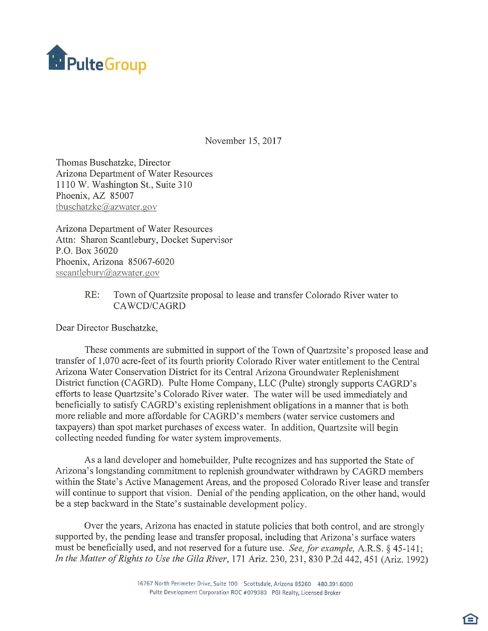

November 15, 2017

Thomas Buschatzke, Director Arizona Department of Water Resources 1110 W. Washington St., Suite 310 Phoenix, AZ 85007 tbuschatzke@azwater.gov

Arizona Department of Water Resources Attn: Sharon Scantlebury, Docket Supervisor P.O. Box 36020 Phoenix, Arizona 85067-6020 sscantlebury@azwater.gov

## $RE:$ Town of Quartzsite proposal to lease and transfer Colorado River water to CAWCD/CAGRD

Dear Director Buschatzke,

These comments are submitted in support of the Town of Quartzsite's proposed lease and transfer of 1,070 acre-feet of its fourth priority Colorado River water entitlement to the Central Arizona Water Conservation District for its Central Arizona Groundwater Replenishment District function (CAGRD). Pulte Home Company, LLC (Pulte) strongly supports CAGRD's efforts to lease Quartzsite's Colorado River water. The water will be used immediately and beneficially to satisfy CAGRD's existing replenishment obligations in a manner that is both more reliable and more affordable for CAGRD's members (water service customers and taxpayers) than spot market purchases of excess water. In addition, Quartzsite will begin collecting needed funding for water system improvements.

As a land developer and homebuilder, Pulte recognizes and has supported the State of Arizona's longstanding commitment to replenish groundwater withdrawn by CAGRD members within the State's Active Management Areas, and the proposed Colorado River lease and transfer will continue to support that vision. Denial of the pending application, on the other hand, would be a step backward in the State's sustainable development policy.

Over the years, Arizona has enacted in statute policies that both control, and are strongly supported by, the pending lease and transfer proposal, including that Arizona's surface waters must be beneficially used, and not reserved for a future use. See, for example, A.R.S. § 45-141; In the Matter of Rights to Use the Gila River, 171 Ariz. 230, 231, 830 P.2d 442, 451 (Ariz. 1992)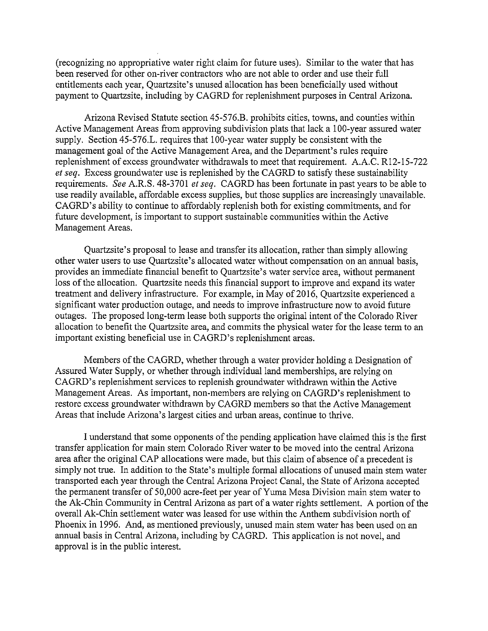(recognizing no appropriative water right claim for future uses). Similar to the water that has been reserved for other on-river contractors who are not able to order and use their full entitlements each year, Quartzsite's unused allocation has been beneficially used without payment to Quartzsite, including by CAGRD for replenishment purposes in Central Arizona.

Arizona Revised Statute section 45-576.B. prohibits cities, towns, and counties within Active Management Areas from approving subdivision plats that lack a 100-year assured water supply. Section 45-576.L. requires that 100-year water supply be consistent with the management goal of the Active Management Area, and the Department's rules require replenishment of excess groundwater withdrawals to meet that requirement. A.A.C. R12-15-722 et seq. Excess groundwater use is replenished by the CAGRD to satisfy these sustainability requirements. See A.R.S. 48-3701 et seq. CAGRD has been fortunate in past years to be able to use readily available, affordable excess supplies, but those supplies are increasingly unavailable. CAGRD's ability to continue to affordably replenish both for existing commitments, and for future development, is important to support sustainable communities within the Active Management Areas.

Quartzsite's proposal to lease and transfer its allocation, rather than simply allowing other water users to use Quartzsite's allocated water without compensation on an annual basis, provides an immediate financial benefit to Quartzsite's water service area, without permanent loss of the allocation. Quartzsite needs this financial support to improve and expand its water treatment and delivery infrastructure. For example, in May of 2016, Quartzsite experienced a significant water production outage, and needs to improve infrastructure now to avoid future outages. The proposed long-term lease both supports the original intent of the Colorado River allocation to benefit the Quartzsite area, and commits the physical water for the lease term to an important existing beneficial use in CAGRD's replenishment areas.

Members of the CAGRD, whether through a water provider holding a Designation of Assured Water Supply, or whether through individual land memberships, are relying on CAGRD's replenishment services to replenish groundwater withdrawn within the Active Management Areas. As important, non-members are relying on CAGRD's replenishment to restore excess groundwater withdrawn by CAGRD members so that the Active Management Areas that include Arizona's largest cities and urban areas, continue to thrive.

I understand that some opponents of the pending application have claimed this is the first transfer application for main stem Colorado River water to be moved into the central Arizona area after the original CAP allocations were made, but this claim of absence of a precedent is simply not true. In addition to the State's multiple formal allocations of unused main stem water transported each year through the Central Arizona Project Canal, the State of Arizona accepted the permanent transfer of 50,000 acre-feet per year of Yuma Mesa Division main stem water to the Ak-Chin Community in Central Arizona as part of a water rights settlement. A portion of the overall Ak-Chin settlement water was leased for use within the Anthem subdivision north of Phoenix in 1996. And, as mentioned previously, unused main stem water has been used on an annual basis in Central Arizona, including by CAGRD. This application is not novel, and approval is in the public interest.